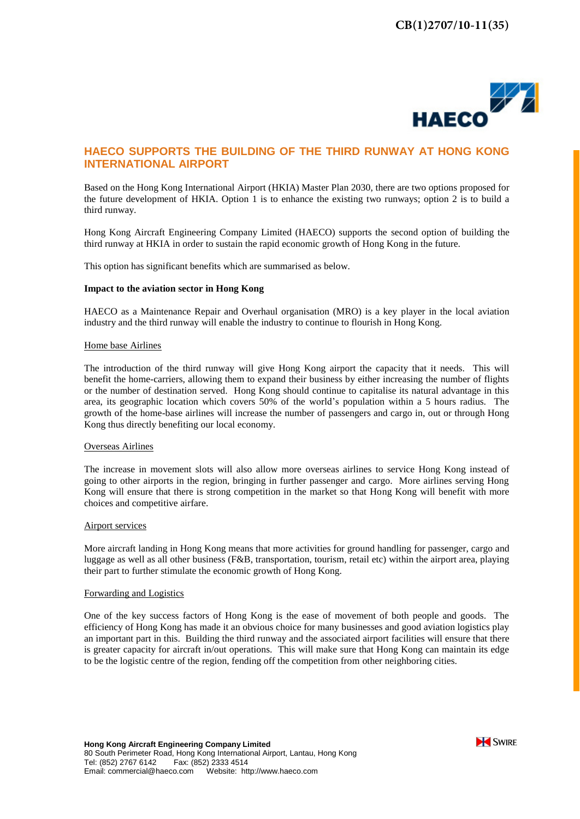

# **HAECO SUPPORTS THE BUILDING OF THE THIRD RUNWAY AT HONG KONG INTERNATIONAL AIRPORT**

Based on the Hong Kong International Airport (HKIA) Master Plan 2030, there are two options proposed for the future development of HKIA. Option 1 is to enhance the existing two runways; option 2 is to build a third runway.

Hong Kong Aircraft Engineering Company Limited (HAECO) supports the second option of building the third runway at HKIA in order to sustain the rapid economic growth of Hong Kong in the future.

This option has significant benefits which are summarised as below.

## **Impact to the aviation sector in Hong Kong**

HAECO as a Maintenance Repair and Overhaul organisation (MRO) is a key player in the local aviation industry and the third runway will enable the industry to continue to flourish in Hong Kong.

## Home base Airlines

The introduction of the third runway will give Hong Kong airport the capacity that it needs. This will benefit the home-carriers, allowing them to expand their business by either increasing the number of flights or the number of destination served. Hong Kong should continue to capitalise its natural advantage in this area, its geographic location which covers 50% of the world's population within a 5 hours radius. The growth of the home-base airlines will increase the number of passengers and cargo in, out or through Hong Kong thus directly benefiting our local economy.

# Overseas Airlines

The increase in movement slots will also allow more overseas airlines to service Hong Kong instead of going to other airports in the region, bringing in further passenger and cargo. More airlines serving Hong Kong will ensure that there is strong competition in the market so that Hong Kong will benefit with more choices and competitive airfare.

### Airport services

More aircraft landing in Hong Kong means that more activities for ground handling for passenger, cargo and luggage as well as all other business (F&B, transportation, tourism, retail etc) within the airport area, playing their part to further stimulate the economic growth of Hong Kong.

# Forwarding and Logistics

One of the key success factors of Hong Kong is the ease of movement of both people and goods. The efficiency of Hong Kong has made it an obvious choice for many businesses and good aviation logistics play an important part in this. Building the third runway and the associated airport facilities will ensure that there is greater capacity for aircraft in/out operations. This will make sure that Hong Kong can maintain its edge to be the logistic centre of the region, fending off the competition from other neighboring cities.

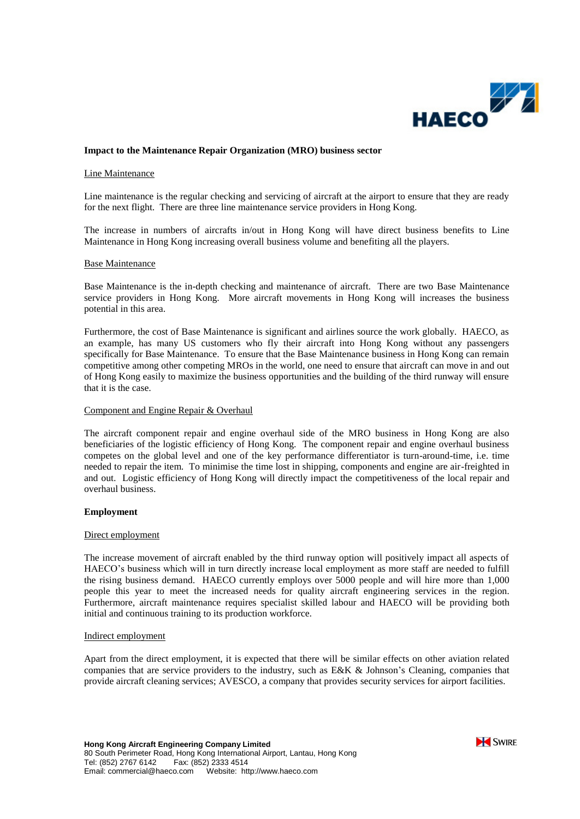

# **Impact to the Maintenance Repair Organization (MRO) business sector**

## Line Maintenance

Line maintenance is the regular checking and servicing of aircraft at the airport to ensure that they are ready for the next flight. There are three line maintenance service providers in Hong Kong.

The increase in numbers of aircrafts in/out in Hong Kong will have direct business benefits to Line Maintenance in Hong Kong increasing overall business volume and benefiting all the players.

#### Base Maintenance

Base Maintenance is the in-depth checking and maintenance of aircraft. There are two Base Maintenance service providers in Hong Kong. More aircraft movements in Hong Kong will increases the business potential in this area.

Furthermore, the cost of Base Maintenance is significant and airlines source the work globally. HAECO, as an example, has many US customers who fly their aircraft into Hong Kong without any passengers specifically for Base Maintenance. To ensure that the Base Maintenance business in Hong Kong can remain competitive among other competing MROs in the world, one need to ensure that aircraft can move in and out of Hong Kong easily to maximize the business opportunities and the building of the third runway will ensure that it is the case.

# Component and Engine Repair & Overhaul

The aircraft component repair and engine overhaul side of the MRO business in Hong Kong are also beneficiaries of the logistic efficiency of Hong Kong. The component repair and engine overhaul business competes on the global level and one of the key performance differentiator is turn-around-time, i.e. time needed to repair the item. To minimise the time lost in shipping, components and engine are air-freighted in and out. Logistic efficiency of Hong Kong will directly impact the competitiveness of the local repair and overhaul business.

#### **Employment**

## Direct employment

The increase movement of aircraft enabled by the third runway option will positively impact all aspects of HAECO's business which will in turn directly increase local employment as more staff are needed to fulfill the rising business demand. HAECO currently employs over 5000 people and will hire more than 1,000 people this year to meet the increased needs for quality aircraft engineering services in the region. Furthermore, aircraft maintenance requires specialist skilled labour and HAECO will be providing both initial and continuous training to its production workforce.

### Indirect employment

Apart from the direct employment, it is expected that there will be similar effects on other aviation related companies that are service providers to the industry, such as E&K & Johnson's Cleaning, companies that provide aircraft cleaning services; AVESCO, a company that provides security services for airport facilities.